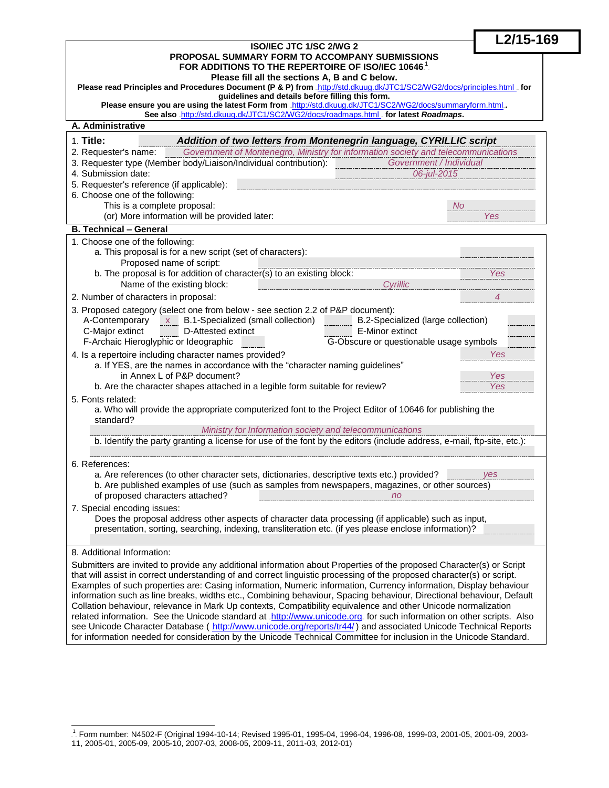| ISO/IEC JTC 1/SC 2/WG 2<br>PROPOSAL SUMMARY FORM TO ACCOMPANY SUBMISSIONS<br>FOR ADDITIONS TO THE REPERTOIRE OF ISO/IEC 10646.                                                                                                        |                                         | L2/15-169 |
|---------------------------------------------------------------------------------------------------------------------------------------------------------------------------------------------------------------------------------------|-----------------------------------------|-----------|
|                                                                                                                                                                                                                                       |                                         |           |
| Please fill all the sections A, B and C below.                                                                                                                                                                                        |                                         |           |
| Please read Principles and Procedures Document (P & P) from .http://std.dkuug.dk/JTC1/SC2/WG2/docs/principles.html . for<br>guidelines and details before filling this form.                                                          |                                         |           |
| Please ensure you are using the latest Form from .http://std.dkuug.dk/JTC1/SC2/WG2/docs/summaryform.html<br>See also .http://std.dkuug.dk/JTC1/SC2/WG2/docs/roadmaps.html _ for latest Roadmaps.                                      |                                         |           |
| A. Administrative                                                                                                                                                                                                                     |                                         |           |
| $1.$ Title:<br>Addition of two letters from Montenegrin language, CYRILLIC script                                                                                                                                                     |                                         |           |
| Government of Montenegro, Ministry for information society and telecommunications<br>2. Requester's name:                                                                                                                             |                                         |           |
| 3. Requester type (Member body/Liaison/Individual contribution):<br>Government / Individual<br>4. Submission date:                                                                                                                    |                                         |           |
| 5. Requester's reference (if applicable):                                                                                                                                                                                             | 06-jul-2015                             |           |
| 6. Choose one of the following:                                                                                                                                                                                                       |                                         |           |
| This is a complete proposal:                                                                                                                                                                                                          | No.                                     |           |
| (or) More information will be provided later:                                                                                                                                                                                         |                                         | Yes       |
| <b>B. Technical - General</b>                                                                                                                                                                                                         |                                         |           |
| 1. Choose one of the following:                                                                                                                                                                                                       |                                         |           |
| a. This proposal is for a new script (set of characters):<br>Proposed name of script:                                                                                                                                                 |                                         |           |
| b. The proposal is for addition of character(s) to an existing block:                                                                                                                                                                 |                                         | Yes       |
| Name of the existing block:                                                                                                                                                                                                           | Cyrillic                                |           |
| 2. Number of characters in proposal:                                                                                                                                                                                                  |                                         | 4         |
| 3. Proposed category (select one from below - see section 2.2 of P&P document):                                                                                                                                                       |                                         |           |
| A-Contemporary x<br>B.1-Specialized (small collection)                                                                                                                                                                                | B.2-Specialized (large collection)      |           |
| C-Major extinct<br>D-Attested extinct                                                                                                                                                                                                 | E-Minor extinct                         |           |
| F-Archaic Hieroglyphic or Ideographic                                                                                                                                                                                                 | G-Obscure or questionable usage symbols |           |
| 4. Is a repertoire including character names provided?<br>Yes<br>a. If YES, are the names in accordance with the "character naming guidelines"                                                                                        |                                         |           |
| in Annex L of P&P document?<br>Yes                                                                                                                                                                                                    |                                         |           |
| b. Are the character shapes attached in a legible form suitable for review?<br>Yes                                                                                                                                                    |                                         |           |
| 5. Fonts related:<br>a. Who will provide the appropriate computerized font to the Project Editor of 10646 for publishing the                                                                                                          |                                         |           |
| standard?                                                                                                                                                                                                                             |                                         |           |
| Ministry for Information society and telecommunications                                                                                                                                                                               |                                         |           |
| b. Identify the party granting a license for use of the font by the editors (include address, e-mail, ftp-site, etc.):                                                                                                                |                                         |           |
| 6. References:                                                                                                                                                                                                                        |                                         |           |
| a. Are references (to other character sets, dictionaries, descriptive texts etc.) provided?                                                                                                                                           |                                         | yes       |
| b. Are published examples of use (such as samples from newspapers, magazines, or other sources)                                                                                                                                       |                                         |           |
| of proposed characters attached?                                                                                                                                                                                                      | n <sub>o</sub>                          |           |
| 7. Special encoding issues:                                                                                                                                                                                                           |                                         |           |
| Does the proposal address other aspects of character data processing (if applicable) such as input,<br>presentation, sorting, searching, indexing, transliteration etc. (if yes please enclose information)?                          |                                         |           |
|                                                                                                                                                                                                                                       |                                         |           |
| 8. Additional Information:                                                                                                                                                                                                            |                                         |           |
| Submitters are invited to provide any additional information about Properties of the proposed Character(s) or Script                                                                                                                  |                                         |           |
| that will assist in correct understanding of and correct linguistic processing of the proposed character(s) or script.                                                                                                                |                                         |           |
| Examples of such properties are: Casing information, Numeric information, Currency information, Display behaviour                                                                                                                     |                                         |           |
| information such as line breaks, widths etc., Combining behaviour, Spacing behaviour, Directional behaviour, Default<br>Collation behaviour, relevance in Mark Up contexts, Compatibility equivalence and other Unicode normalization |                                         |           |
| related information. See the Unicode standard at .http://www.unicode.org. for such information on other scripts. Also                                                                                                                 |                                         |           |
| see Unicode Character Database ( http://www.unicode.org/reports/tr44/) and associated Unicode Technical Reports                                                                                                                       |                                         |           |
| for information needed for consideration by the Unicode Technical Committee for inclusion in the Unicode Standard.                                                                                                                    |                                         |           |
|                                                                                                                                                                                                                                       |                                         |           |

 TP 1 PT Form number: N4502-F (Original 1994-10-14; Revised 1995-01, 1995-04, 1996-04, 1996-08, 1999-03, 2001-05, 2001-09, 2003- 11, 2005-01, 2005-09, 2005-10, 2007-03, 2008-05, 2009-11, 2011-03, 2012-01)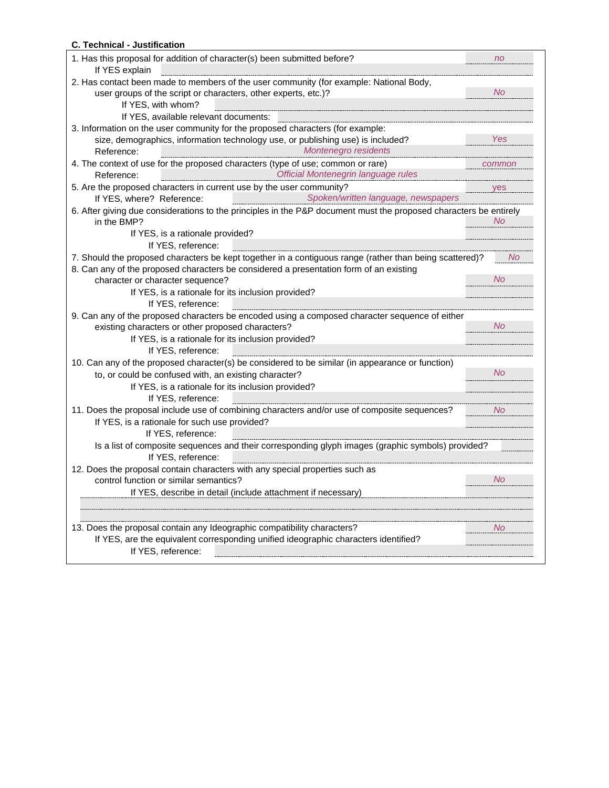#### **C. Technical - Justification**

| 1. Has this proposal for addition of character(s) been submitted before?                                                                                  | n <sub>o</sub> |                                                    |
|-----------------------------------------------------------------------------------------------------------------------------------------------------------|----------------|----------------------------------------------------|
| If YES explain                                                                                                                                            |                |                                                    |
| 2. Has contact been made to members of the user community (for example: National Body,                                                                    |                |                                                    |
| user groups of the script or characters, other experts, etc.)?                                                                                            | <b>No</b>      |                                                    |
| If YES, with whom?                                                                                                                                        |                |                                                    |
| If YES, available relevant documents:                                                                                                                     |                |                                                    |
| 3. Information on the user community for the proposed characters (for example:                                                                            |                |                                                    |
| size, demographics, information technology use, or publishing use) is included?                                                                           | Yes            |                                                    |
| Montenegro residents<br>Reference:<br>---------------------------------                                                                                   |                |                                                    |
| 4. The context of use for the proposed characters (type of use; common or rare)                                                                           | common         |                                                    |
| Official Montenegrin language rules<br>Reference:                                                                                                         |                |                                                    |
| 5. Are the proposed characters in current use by the user community?                                                                                      | <b>ves</b>     |                                                    |
| Spoken/written language, newspapers<br>If YES, where? Reference:                                                                                          |                |                                                    |
| 6. After giving due considerations to the principles in the P&P document must the proposed characters be entirely                                         |                |                                                    |
| in the BMP?                                                                                                                                               | No             |                                                    |
| If YES, is a rationale provided?                                                                                                                          |                |                                                    |
| If YES, reference:                                                                                                                                        |                |                                                    |
| 7. Should the proposed characters be kept together in a contiguous range (rather than being scattered)?                                                   | - No           |                                                    |
| 8. Can any of the proposed characters be considered a presentation form of an existing                                                                    |                |                                                    |
| character or character sequence?                                                                                                                          | <b>No</b>      |                                                    |
| If YES, is a rationale for its inclusion provided?                                                                                                        |                |                                                    |
| If YES, reference:                                                                                                                                        |                |                                                    |
|                                                                                                                                                           |                |                                                    |
| 9. Can any of the proposed characters be encoded using a composed character sequence of either                                                            | No             |                                                    |
| existing characters or other proposed characters?                                                                                                         |                |                                                    |
| If YES, is a rationale for its inclusion provided?                                                                                                        |                |                                                    |
| If YES, reference:                                                                                                                                        |                |                                                    |
| 10. Can any of the proposed character(s) be considered to be similar (in appearance or function)<br>to, or could be confused with, an existing character? |                |                                                    |
|                                                                                                                                                           |                | If YES, is a rationale for its inclusion provided? |
| If YES, reference:                                                                                                                                        |                |                                                    |
| 11. Does the proposal include use of combining characters and/or use of composite sequences?                                                              | No.            |                                                    |
| If YES, is a rationale for such use provided?                                                                                                             |                |                                                    |
| If YES, reference:                                                                                                                                        |                |                                                    |
| Is a list of composite sequences and their corresponding glyph images (graphic symbols) provided?                                                         |                |                                                    |
| If YES, reference:                                                                                                                                        |                |                                                    |
| 12. Does the proposal contain characters with any special properties such as                                                                              |                |                                                    |
| control function or similar semantics?                                                                                                                    | <b>No</b>      |                                                    |
| If YES, describe in detail (include attachment if necessary)                                                                                              |                |                                                    |
|                                                                                                                                                           |                |                                                    |
|                                                                                                                                                           |                |                                                    |
| 13. Does the proposal contain any Ideographic compatibility characters?                                                                                   | No.            |                                                    |
| If YES, are the equivalent corresponding unified ideographic characters identified?                                                                       |                |                                                    |
|                                                                                                                                                           |                |                                                    |
| If YES, reference:                                                                                                                                        |                |                                                    |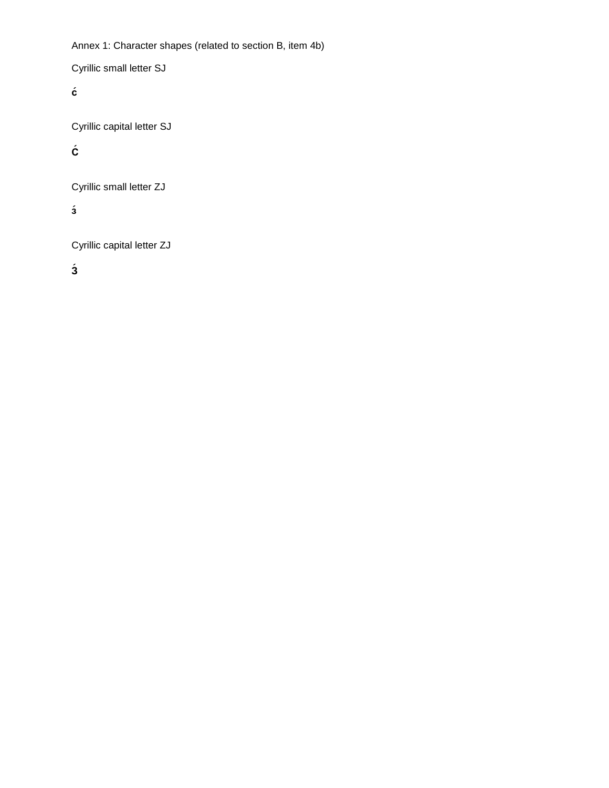Annex 1: Character shapes (related to section B, item 4b)

Cyrillic small letter SJ

**с´**

Cyrillic capital letter SJ

## **С´**

Cyrillic small letter ZJ

**з´**

Cyrillic capital letter ZJ

**З´**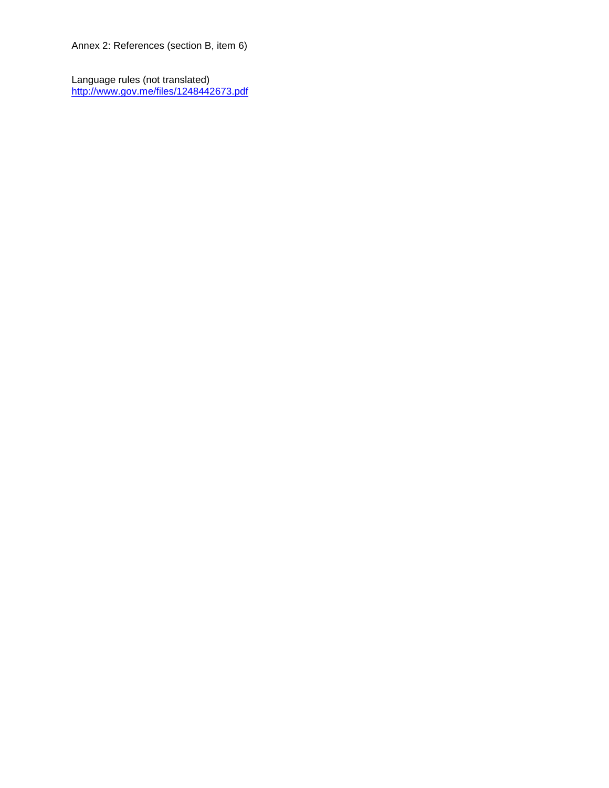Annex 2: References (section B, item 6)

Language rules (not translated) <http://www.gov.me/files/1248442673.pdf>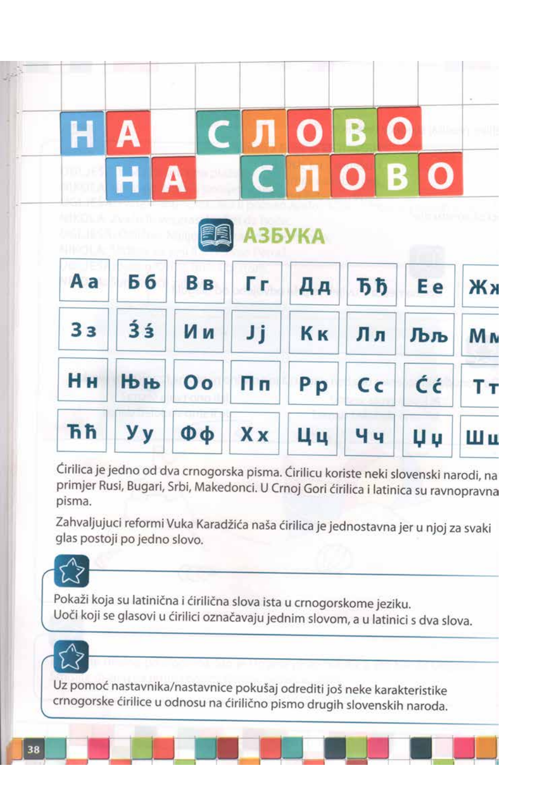

Ćirilica je jedno od dva crnogorska pisma. Ćirilicu koriste neki slovenski narodi, na primjer Rusi, Bugari, Srbi, Makedonci. U Crnoj Gori ćirilica i latinica su ravnopravna pisma.

Zahvaljujuci reformi Vuka Karadžića naša ćirilica je jednostavna jer u njoj za svaki glas postoji po jedno slovo.



Pokaži koja su latinična i ćirilična slova ista u crnogorskome jeziku. Uoči koji se glasovi u ćirilici označavaju jednim slovom, a u latinici s dva slova.

Uz pomoć nastavnika/nastavnice pokušaj odrediti još neke karakteristike crnogorske ćirilice u odnosu na ćirilično pismo drugih slovenskih naroda.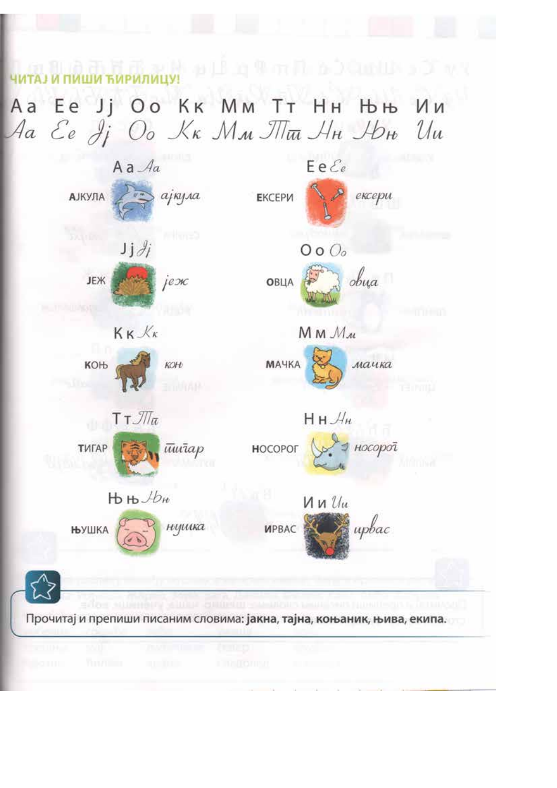**ЧИТАЈИ ПИШИ ЋИРИЛИЦУ** ДА ДА ДА ДА ПАВА ДА ДА ДА ДА ДА ДА ДА

Aa Ee Jj Oo Kk Мм Тт Нн Њњ Ии Aa Ee Ji Oo Kk Mm M<del>m</del> Hn Ibn Uu

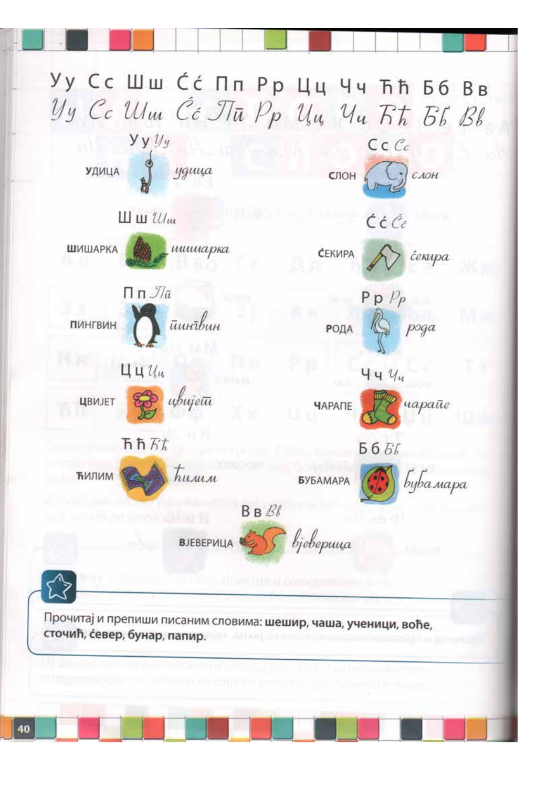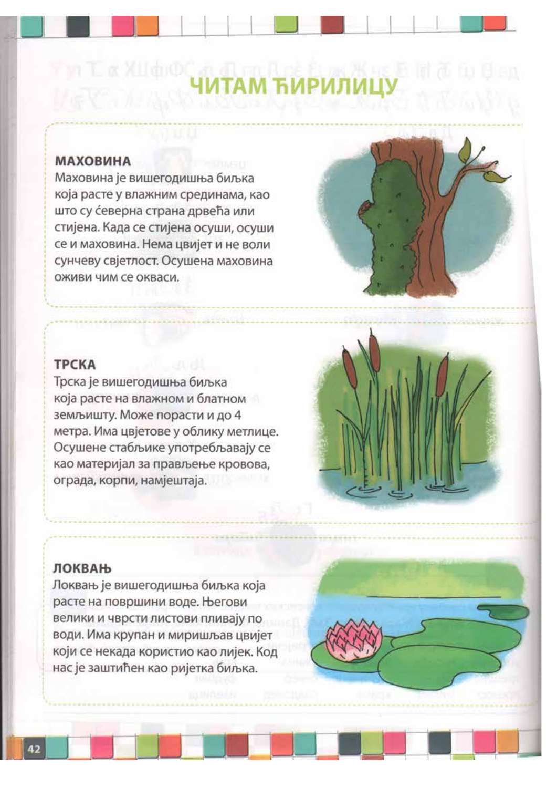# **ИМТАМ ЋИРИЛИЦУ ПОЛИНИЗИЗИТЕ КАНАЛИЈА И СИЛИ**

## **МАХОВИНА**

Маховина је вишегодишња биљка која расте у влажним срединама, као што су северна страна дрвећа или стијена. Када се стијена осуши, осуши се и маховина. Нема цвијет и не воли сунчеву свјетлост. Осушена маховина оживи чим се окваси.



Трска је вишегодишња биљка која расте на влажном и блатном земљишту. Може порасти и до 4 метра. Има цвјетове у облику метлице. Осушене стабљике употребљавају се као материјал за прављење кровова, ограда, корпи, намјештаја.

### ЛОКВАЊ

Локвањ је вишегодишња биљка која расте на површини воде. Његови велики и чврсти листови пливају по води. Има крупан и миришљав цвијет који се некада користио као лијек. Код нас је заштићен као ријетка биљка.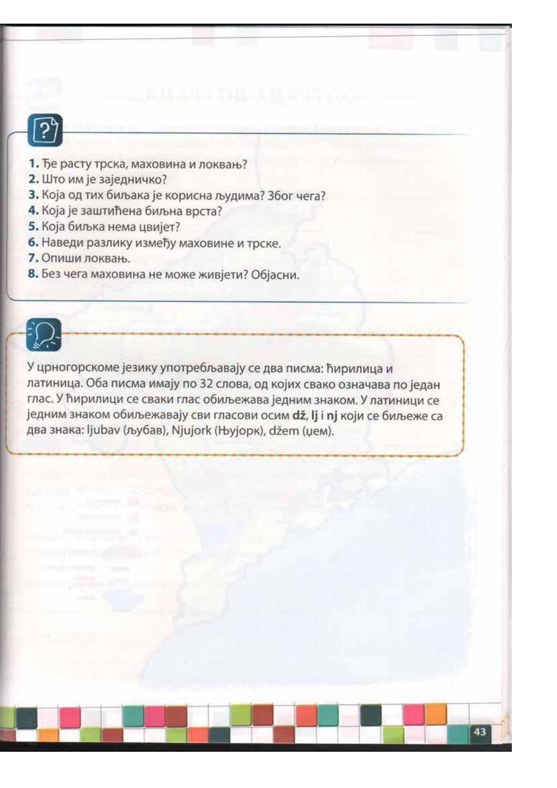

- 1. Ђе расту трска, маховина и локвањ?
- 2. Што им је заједничко?
- 3. Која од тих биљака је корисна људима? Због чега?
- 4. Која је заштићена биљна врста?
- 5. Која биљка нема цвијет?
- 6. Наведи разлику између маховине и трске.
- 7. Опиши локвањ.
- 8. Без чега маховина не може живјети? Објасни.



У црногорскоме језику употребљавају се два писма: ћирилица и латиница. Оба писма имају по 32 слова, од којих свако означава по један глас. У ћирилици се сваки глас обиљежава једним знаком. У латиници се једним знаком обиљежавају сви гласови осим dž, lj i nj који се биљеже са два знака: ljubav (љубав), Njujork (Њујорк), džem (џем).

43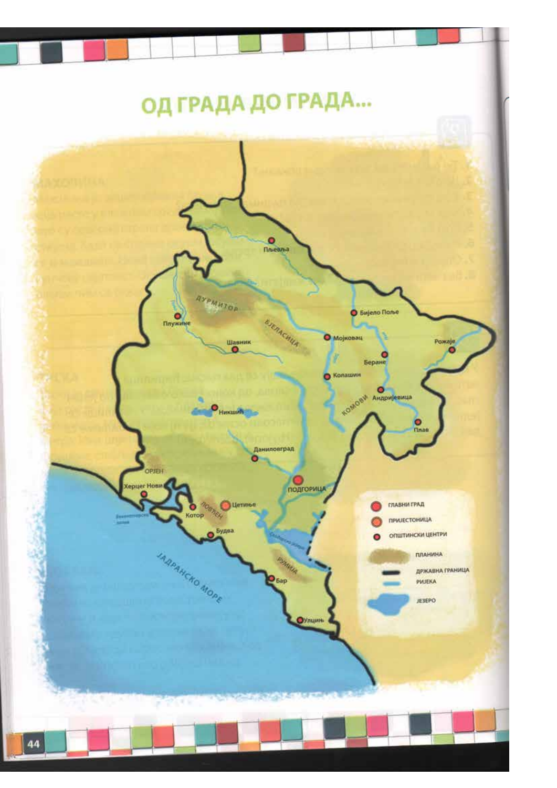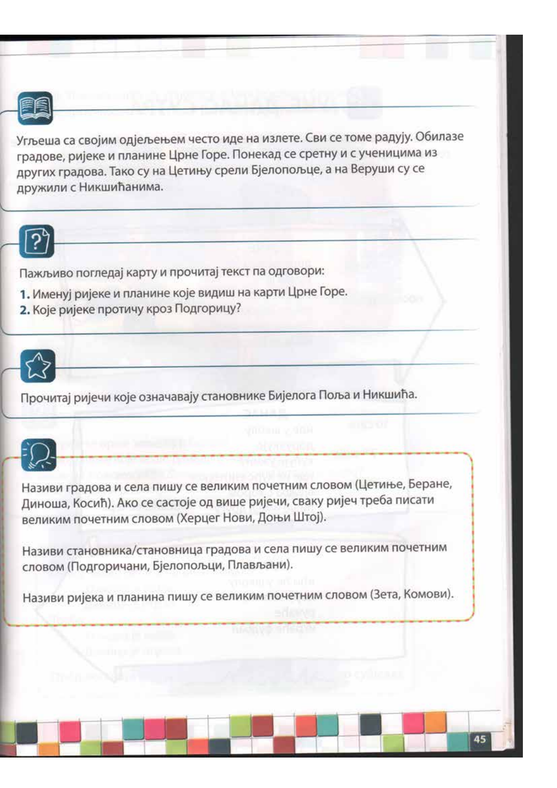

Угљеша са својим одјељењем често иде на излете. Сви се томе радују. Обилазе градове, ријеке и планине Црне Горе. Понекад се сретну и с ученицима из других градова. Тако су на Цетињу срели Бјелопољце, а на Веруши су се дружили с Никшићанима.



Пажљиво погледај карту и прочитај текст па одговори:

- 1. Именуј ријеке и планине које видиш на карти Црне Горе.
- 2. Које ријеке протичу кроз Подгорицу?



Прочитај ријечи које означавају становнике Бијелога Поља и Никшића.



Називи градова и села пишу се великим почетним словом (Цетиње, Беране, Диноша, Косић). Ако се састоје од више ријечи, сваку ријеч треба писати великим почетним словом (Херцег Нови, Доњи Штој).

Називи становника/становница градова и села пишу се великим почетним словом (Подгоричани, Бјелопољци, Плављани).

Називи ријека и планина пишу се великим почетним словом (Зета, Комови).

**MANY START** 

45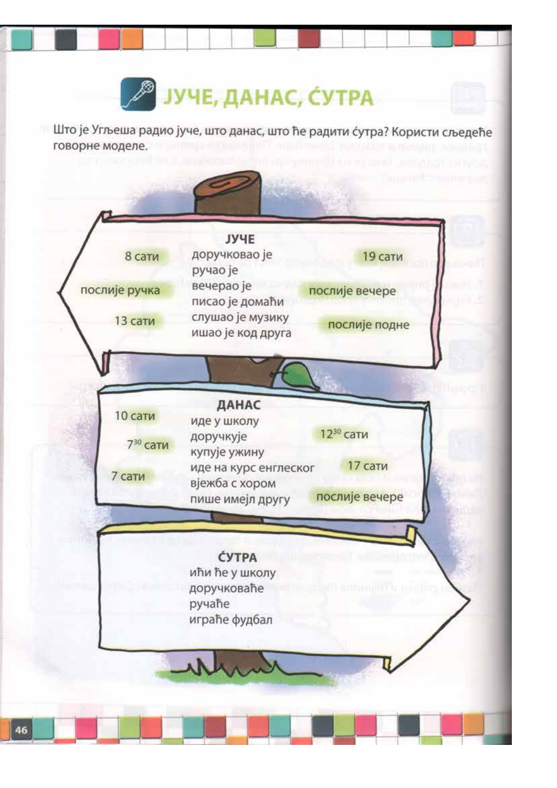

Што је Угљеша радио јуче, што данас, што ће радити сутра? Користи сљедеће говорне моделе.